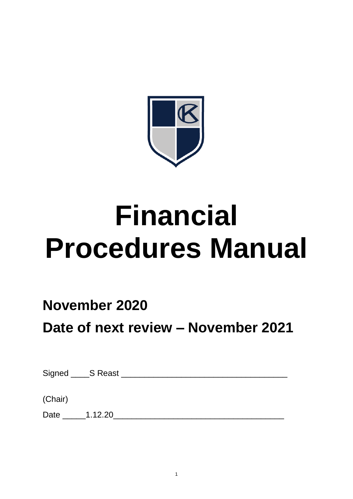

# **Financial Procedures Manual**

## **November 2020**

**Date of next review – November 2021**

| Signed ______S Reast |  |  |  |
|----------------------|--|--|--|
|                      |  |  |  |
| (Chair)              |  |  |  |

Date \_\_\_\_\_1.12.20\_\_\_\_\_\_\_\_\_\_\_\_\_\_\_\_\_\_\_\_\_\_\_\_\_\_\_\_\_\_\_\_\_\_\_\_\_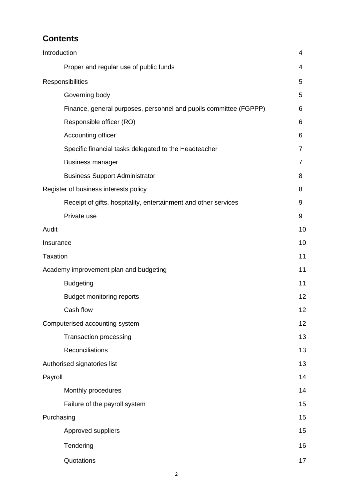## **Contents**

| Introduction                                                      | 4              |
|-------------------------------------------------------------------|----------------|
| Proper and regular use of public funds                            | 4              |
| Responsibilities                                                  | 5              |
| Governing body                                                    | 5              |
| Finance, general purposes, personnel and pupils committee (FGPPP) | 6              |
| Responsible officer (RO)                                          | 6              |
| Accounting officer                                                | 6              |
| Specific financial tasks delegated to the Headteacher             | $\overline{7}$ |
| <b>Business manager</b>                                           | $\overline{7}$ |
| <b>Business Support Administrator</b>                             | 8              |
| Register of business interests policy                             | 8              |
| Receipt of gifts, hospitality, entertainment and other services   | 9              |
| Private use                                                       | 9              |
| Audit                                                             | 10             |
| Insurance                                                         | 10             |
| <b>Taxation</b>                                                   | 11             |
| Academy improvement plan and budgeting                            | 11             |
| <b>Budgeting</b>                                                  | 11             |
| <b>Budget monitoring reports</b>                                  | 12             |
| Cash flow                                                         | 12             |
| Computerised accounting system                                    | 12             |
| <b>Transaction processing</b>                                     | 13             |
| Reconciliations                                                   | 13             |
| Authorised signatories list                                       | 13             |
| Payroll                                                           | 14             |
| Monthly procedures                                                | 14             |
| Failure of the payroll system                                     | 15             |
| Purchasing                                                        | 15             |
| Approved suppliers                                                | 15             |
| Tendering                                                         | 16             |
| Quotations                                                        | 17             |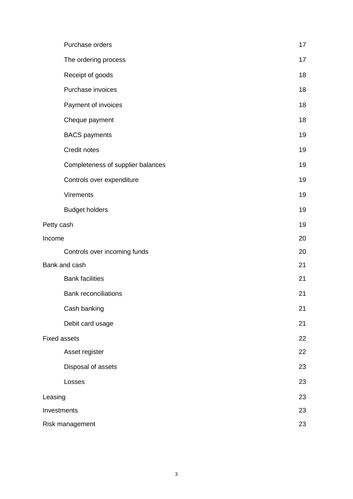|            | Purchase orders                   | 17 |
|------------|-----------------------------------|----|
|            | The ordering process              | 17 |
|            | Receipt of goods                  | 18 |
|            | Purchase invoices                 | 18 |
|            | Payment of invoices               | 18 |
|            | Cheque payment                    | 18 |
|            | <b>BACS</b> payments              | 19 |
|            | Credit notes                      | 19 |
|            | Completeness of supplier balances | 19 |
|            | Controls over expenditure         | 19 |
|            | <b>Virements</b>                  | 19 |
|            | <b>Budget holders</b>             | 19 |
| Petty cash |                                   | 19 |
| Income     |                                   | 20 |
|            | Controls over incoming funds      | 20 |
|            | Bank and cash                     | 21 |
|            | <b>Bank facilities</b>            | 21 |
|            | <b>Bank reconciliations</b>       | 21 |
|            | Cash banking                      | 21 |
|            | Debit card usage                  | 21 |
|            | <b>Fixed assets</b>               | 22 |
|            | Asset register                    | 22 |
|            | Disposal of assets                | 23 |
|            | Losses                            | 23 |
| Leasing    |                                   | 23 |
|            | Investments                       | 23 |
|            | Risk management                   | 23 |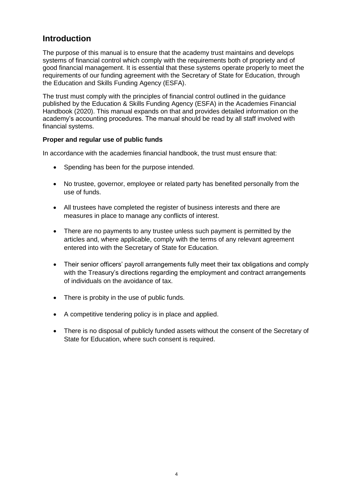## **Introduction**

The purpose of this manual is to ensure that the academy trust maintains and develops systems of financial control which comply with the requirements both of propriety and of good financial management. It is essential that these systems operate properly to meet the requirements of our funding agreement with the Secretary of State for Education, through the Education and Skills Funding Agency (ESFA).

The trust must comply with the principles of financial control outlined in the guidance published by the Education & Skills Funding Agency (ESFA) in the Academies Financial Handbook (2020). This manual expands on that and provides detailed information on the academy's accounting procedures. The manual should be read by all staff involved with financial systems.

#### **Proper and regular use of public funds**

In accordance with the academies financial handbook, the trust must ensure that:

- Spending has been for the purpose intended.
- No trustee, governor, employee or related party has benefited personally from the use of funds.
- All trustees have completed the register of business interests and there are measures in place to manage any conflicts of interest.
- There are no payments to any trustee unless such payment is permitted by the articles and, where applicable, comply with the terms of any relevant agreement entered into with the Secretary of State for Education.
- Their senior officers' payroll arrangements fully meet their tax obligations and comply with the Treasury's directions regarding the employment and contract arrangements of individuals on the avoidance of tax.
- There is probity in the use of public funds.
- A competitive tendering policy is in place and applied.
- There is no disposal of publicly funded assets without the consent of the Secretary of State for Education, where such consent is required.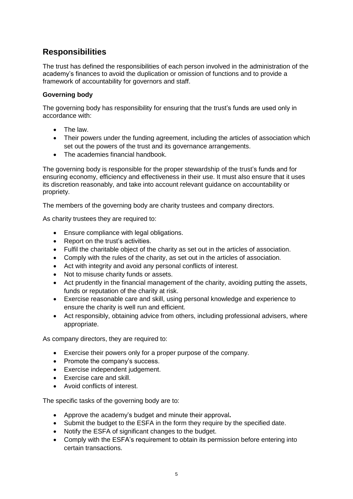## **Responsibilities**

The trust has defined the responsibilities of each person involved in the administration of the academy's finances to avoid the duplication or omission of functions and to provide a framework of accountability for governors and staff.

#### **Governing body**

The governing body has responsibility for ensuring that the trust's funds are used only in accordance with:

- The law
- Their powers under the funding agreement, including the articles of association which set out the powers of the trust and its governance arrangements.
- The academies financial handbook.

The governing body is responsible for the proper stewardship of the trust's funds and for ensuring economy, efficiency and effectiveness in their use. It must also ensure that it uses its discretion reasonably, and take into account relevant guidance on accountability or propriety.

The members of the governing body are charity trustees and company directors.

As charity trustees they are required to:

- Ensure compliance with legal obligations.
- Report on the trust's activities.
- Fulfil the charitable object of the charity as set out in the articles of association.
- Comply with the rules of the charity, as set out in the articles of association.
- Act with integrity and avoid any personal conflicts of interest.
- Not to misuse charity funds or assets.
- Act prudently in the financial management of the charity, avoiding putting the assets, funds or reputation of the charity at risk.
- Exercise reasonable care and skill, using personal knowledge and experience to ensure the charity is well run and efficient.
- Act responsibly, obtaining advice from others, including professional advisers, where appropriate.

As company directors, they are required to:

- Exercise their powers only for a proper purpose of the company.
- Promote the company's success.
- Exercise independent judgement.
- Exercise care and skill.
- Avoid conflicts of interest.

The specific tasks of the governing body are to:

- Approve the academy's budget and minute their approval**.**
- Submit the budget to the ESFA in the form they require by the specified date.
- Notify the ESFA of significant changes to the budget.
- Comply with the ESFA's requirement to obtain its permission before entering into certain transactions.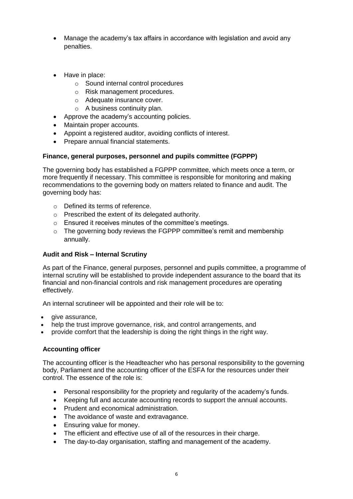- Manage the academy's tax affairs in accordance with legislation and avoid any penalties.
- Have in place:
	- o Sound internal control procedures
	- o Risk management procedures.
	- o Adequate insurance cover.
	- o A business continuity plan.
- Approve the academy's accounting policies.
- Maintain proper accounts.
- Appoint a registered auditor, avoiding conflicts of interest.
- Prepare annual financial statements.

#### **Finance, general purposes, personnel and pupils committee (FGPPP)**

The governing body has established a FGPPP committee, which meets once a term, or more frequently if necessary. This committee is responsible for monitoring and making recommendations to the governing body on matters related to finance and audit. The governing body has:

- o Defined its terms of reference.
- o Prescribed the extent of its delegated authority.
- o Ensured it receives minutes of the committee's meetings.
- o The governing body reviews the FGPPP committee's remit and membership annually.

#### **Audit and Risk – Internal Scrutiny**

As part of the Finance, general purposes, personnel and pupils committee, a programme of internal scrutiny will be established to provide independent assurance to the board that its financial and non-financial controls and risk management procedures are operating effectively.

An internal scrutineer will be appointed and their role will be to:

- give assurance,
- help the trust improve governance, risk, and control arrangements, and
- provide comfort that the leadership is doing the right things in the right way.

#### **Accounting officer**

The accounting officer is the Headteacher who has personal responsibility to the governing body, Parliament and the accounting officer of the ESFA for the resources under their control. The essence of the role is:

- Personal responsibility for the propriety and regularity of the academy's funds.
- Keeping full and accurate accounting records to support the annual accounts.
- Prudent and economical administration.
- The avoidance of waste and extravagance.
- Ensuring value for money.
- The efficient and effective use of all of the resources in their charge.
- The day-to-day organisation, staffing and management of the academy.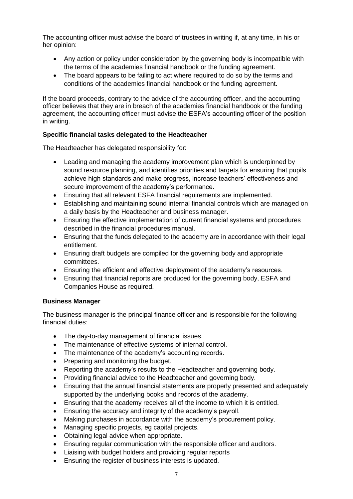The accounting officer must advise the board of trustees in writing if, at any time, in his or her opinion:

- Any action or policy under consideration by the governing body is incompatible with the terms of the academies financial handbook or the funding agreement.
- The board appears to be failing to act where required to do so by the terms and conditions of the academies financial handbook or the funding agreement.

If the board proceeds, contrary to the advice of the accounting officer, and the accounting officer believes that they are in breach of the academies financial handbook or the funding agreement, the accounting officer must advise the ESFA's accounting officer of the position in writing.

#### **Specific financial tasks delegated to the Headteacher**

The Headteacher has delegated responsibility for:

- Leading and managing the academy improvement plan which is underpinned by sound resource planning, and identifies priorities and targets for ensuring that pupils achieve high standards and make progress, increase teachers' effectiveness and secure improvement of the academy's performance.
- Ensuring that all relevant ESFA financial requirements are implemented.
- Establishing and maintaining sound internal financial controls which are managed on a daily basis by the Headteacher and business manager.
- Ensuring the effective implementation of current financial systems and procedures described in the financial procedures manual.
- Ensuring that the funds delegated to the academy are in accordance with their legal entitlement.
- Ensuring draft budgets are compiled for the governing body and appropriate committees.
- Ensuring the efficient and effective deployment of the academy's resources.
- Ensuring that financial reports are produced for the governing body, ESFA and Companies House as required.

#### **Business Manager**

The business manager is the principal finance officer and is responsible for the following financial duties:

- The day-to-day management of financial issues.
- The maintenance of effective systems of internal control.
- The maintenance of the academy's accounting records.
- Preparing and monitoring the budget.
- Reporting the academy's results to the Headteacher and governing body.
- Providing financial advice to the Headteacher and governing body.
- Ensuring that the annual financial statements are properly presented and adequately supported by the underlying books and records of the academy.
- Ensuring that the academy receives all of the income to which it is entitled.
- Ensuring the accuracy and integrity of the academy's payroll.
- Making purchases in accordance with the academy's procurement policy.
- Managing specific projects, eg capital projects.
- Obtaining legal advice when appropriate.
- Ensuring regular communication with the responsible officer and auditors.
- Liaising with budget holders and providing regular reports
- **Ensuring the register of business interests is updated.**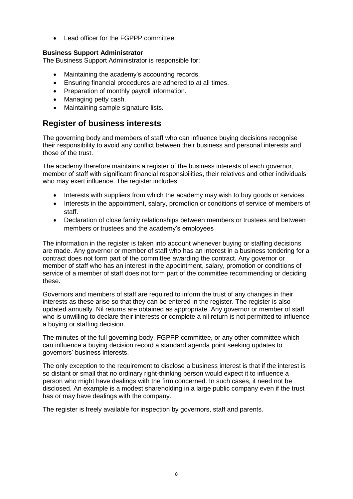Lead officer for the FGPPP committee.

#### **Business Support Administrator**

The Business Support Administrator is responsible for:

- Maintaining the academy's accounting records.
- Ensuring financial procedures are adhered to at all times.
- Preparation of monthly payroll information.
- Managing petty cash.
- Maintaining sample signature lists.

### **Register of business interests**

The governing body and members of staff who can influence buying decisions recognise their responsibility to avoid any conflict between their business and personal interests and those of the trust.

The academy therefore maintains a register of the business interests of each governor. member of staff with significant financial responsibilities, their relatives and other individuals who may exert influence. The register includes:

- Interests with suppliers from which the academy may wish to buy goods or services.
- Interests in the appointment, salary, promotion or conditions of service of members of staff.
- Declaration of close family relationships between members or trustees and between members or trustees and the academy's employees

The information in the register is taken into account whenever buying or staffing decisions are made. Any governor or member of staff who has an interest in a business tendering for a contract does not form part of the committee awarding the contract. Any governor or member of staff who has an interest in the appointment, salary, promotion or conditions of service of a member of staff does not form part of the committee recommending or deciding these.

Governors and members of staff are required to inform the trust of any changes in their interests as these arise so that they can be entered in the register. The register is also updated annually. Nil returns are obtained as appropriate. Any governor or member of staff who is unwilling to declare their interests or complete a nil return is not permitted to influence a buying or staffing decision.

The minutes of the full governing body, FGPPP committee, or any other committee which can influence a buying decision record a standard agenda point seeking updates to governors' business interests.

The only exception to the requirement to disclose a business interest is that if the interest is so distant or small that no ordinary right-thinking person would expect it to influence a person who might have dealings with the firm concerned. In such cases, it need not be disclosed. An example is a modest shareholding in a large public company even if the trust has or may have dealings with the company.

The register is freely available for inspection by governors, staff and parents.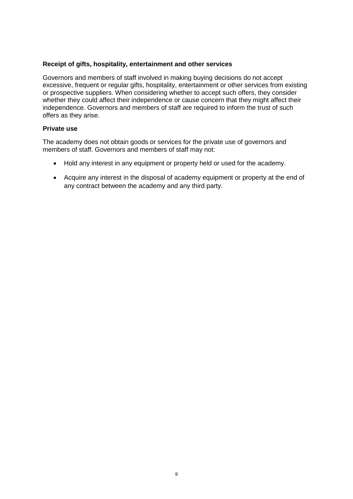#### **Receipt of gifts, hospitality, entertainment and other services**

Governors and members of staff involved in making buying decisions do not accept excessive, frequent or regular gifts, hospitality, entertainment or other services from existing or prospective suppliers. When considering whether to accept such offers, they consider whether they could affect their independence or cause concern that they might affect their independence. Governors and members of staff are required to inform the trust of such offers as they arise.

#### **Private use**

The academy does not obtain goods or services for the private use of governors and members of staff. Governors and members of staff may not:

- Hold any interest in any equipment or property held or used for the academy.
- Acquire any interest in the disposal of academy equipment or property at the end of any contract between the academy and any third party.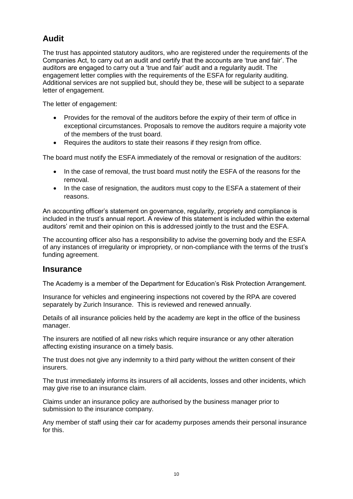## **Audit**

The trust has appointed statutory auditors, who are registered under the requirements of the Companies Act, to carry out an audit and certify that the accounts are 'true and fair'. The auditors are engaged to carry out a 'true and fair' audit and a regularity audit. The engagement letter complies with the requirements of the ESFA for regularity auditing. Additional services are not supplied but, should they be, these will be subject to a separate letter of engagement.

The letter of engagement:

- Provides for the removal of the auditors before the expiry of their term of office in exceptional circumstances. Proposals to remove the auditors require a majority vote of the members of the trust board.
- Requires the auditors to state their reasons if they resign from office.

The board must notify the ESFA immediately of the removal or resignation of the auditors:

- In the case of removal, the trust board must notify the ESFA of the reasons for the removal.
- In the case of resignation, the auditors must copy to the ESFA a statement of their reasons.

An accounting officer's statement on governance, regularity, propriety and compliance is included in the trust's annual report. A review of this statement is included within the external auditors' remit and their opinion on this is addressed jointly to the trust and the ESFA.

The accounting officer also has a responsibility to advise the governing body and the ESFA of any instances of irregularity or impropriety, or non-compliance with the terms of the trust's funding agreement.

#### **Insurance**

The Academy is a member of the Department for Education's Risk Protection Arrangement.

Insurance for vehicles and engineering inspections not covered by the RPA are covered separately by Zurich Insurance. This is reviewed and renewed annually.

Details of all insurance policies held by the academy are kept in the office of the business manager.

The insurers are notified of all new risks which require insurance or any other alteration affecting existing insurance on a timely basis.

The trust does not give any indemnity to a third party without the written consent of their insurers.

The trust immediately informs its insurers of all accidents, losses and other incidents, which may give rise to an insurance claim.

Claims under an insurance policy are authorised by the business manager prior to submission to the insurance company.

Any member of staff using their car for academy purposes amends their personal insurance for this.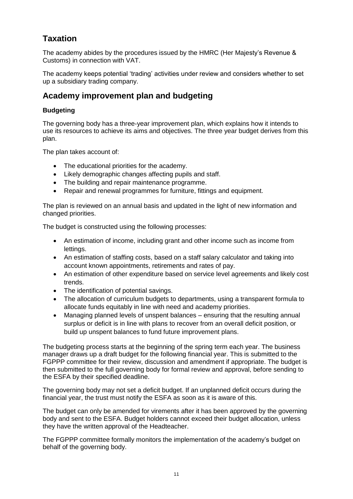## **Taxation**

The academy abides by the procedures issued by the HMRC (Her Majesty's Revenue & Customs) in connection with VAT.

The academy keeps potential 'trading' activities under review and considers whether to set up a subsidiary trading company.

## **Academy improvement plan and budgeting**

#### **Budgeting**

The governing body has a three-year improvement plan, which explains how it intends to use its resources to achieve its aims and objectives. The three year budget derives from this plan.

The plan takes account of:

- The educational priorities for the academy.
- Likely demographic changes affecting pupils and staff.
- The building and repair maintenance programme.
- Repair and renewal programmes for furniture, fittings and equipment.

The plan is reviewed on an annual basis and updated in the light of new information and changed priorities.

The budget is constructed using the following processes:

- An estimation of income, including grant and other income such as income from lettings.
- An estimation of staffing costs, based on a staff salary calculator and taking into account known appointments, retirements and rates of pay.
- An estimation of other expenditure based on service level agreements and likely cost trends.
- The identification of potential savings.
- The allocation of curriculum budgets to departments, using a transparent formula to allocate funds equitably in line with need and academy priorities.
- Managing planned levels of unspent balances ensuring that the resulting annual surplus or deficit is in line with plans to recover from an overall deficit position, or build up unspent balances to fund future improvement plans.

The budgeting process starts at the beginning of the spring term each year. The business manager draws up a draft budget for the following financial year. This is submitted to the FGPPP committee for their review, discussion and amendment if appropriate. The budget is then submitted to the full governing body for formal review and approval, before sending to the ESFA by their specified deadline.

The governing body may not set a deficit budget. If an unplanned deficit occurs during the financial year, the trust must notify the ESFA as soon as it is aware of this.

The budget can only be amended for virements after it has been approved by the governing body and sent to the ESFA. Budget holders cannot exceed their budget allocation, unless they have the written approval of the Headteacher.

The FGPPP committee formally monitors the implementation of the academy's budget on behalf of the governing body.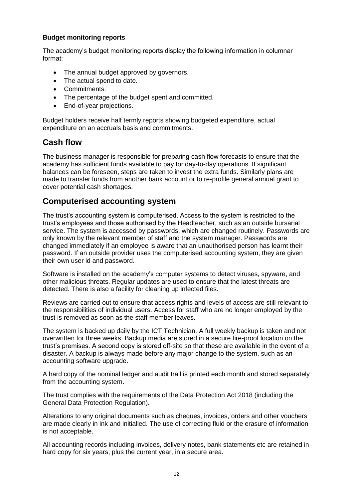#### **Budget monitoring reports**

The academy's budget monitoring reports display the following information in columnar format:

- The annual budget approved by governors.
- The actual spend to date.
- Commitments.
- The percentage of the budget spent and committed.
- End-of-year projections.

Budget holders receive half termly reports showing budgeted expenditure, actual expenditure on an accruals basis and commitments.

## **Cash flow**

The business manager is responsible for preparing cash flow forecasts to ensure that the academy has sufficient funds available to pay for day-to-day operations. If significant balances can be foreseen, steps are taken to invest the extra funds. Similarly plans are made to transfer funds from another bank account or to re-profile general annual grant to cover potential cash shortages.

## **Computerised accounting system**

The trust's accounting system is computerised. Access to the system is restricted to the trust's employees and those authorised by the Headteacher, such as an outside bursarial service. The system is accessed by passwords, which are changed routinely. Passwords are only known by the relevant member of staff and the system manager. Passwords are changed immediately if an employee is aware that an unauthorised person has learnt their password. If an outside provider uses the computerised accounting system, they are given their own user id and password.

Software is installed on the academy's computer systems to detect viruses, spyware, and other malicious threats. Regular updates are used to ensure that the latest threats are detected. There is also a facility for cleaning up infected files.

Reviews are carried out to ensure that access rights and levels of access are still relevant to the responsibilities of individual users. Access for staff who are no longer employed by the trust is removed as soon as the staff member leaves.

The system is backed up daily by the ICT Technician. A full weekly backup is taken and not overwritten for three weeks. Backup media are stored in a secure fire-proof location on the trust's premises. A second copy is stored off-site so that these are available in the event of a disaster. A backup is always made before any major change to the system, such as an accounting software upgrade.

A hard copy of the nominal ledger and audit trail is printed each month and stored separately from the accounting system.

The trust complies with the requirements of the Data Protection Act 2018 (including the General Data Protection Regulation).

Alterations to any original documents such as cheques, invoices, orders and other vouchers are made clearly in ink and initialled. The use of correcting fluid or the erasure of information is not acceptable.

All accounting records including invoices, delivery notes, bank statements etc are retained in hard copy for six years, plus the current year, in a secure area.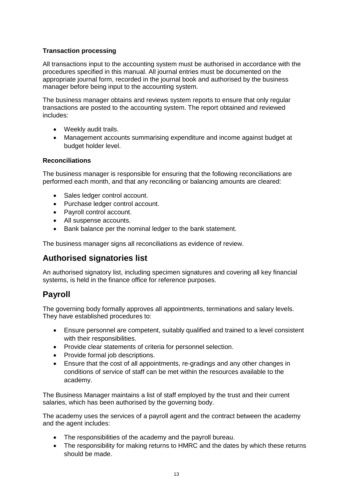#### **Transaction processing**

All transactions input to the accounting system must be authorised in accordance with the procedures specified in this manual. All journal entries must be documented on the appropriate journal form, recorded in the journal book and authorised by the business manager before being input to the accounting system.

The business manager obtains and reviews system reports to ensure that only regular transactions are posted to the accounting system. The report obtained and reviewed includes:

- Weekly audit trails.
- Management accounts summarising expenditure and income against budget at budget holder level.

#### **Reconciliations**

The business manager is responsible for ensuring that the following reconciliations are performed each month, and that any reconciling or balancing amounts are cleared:

- Sales ledger control account.
- Purchase ledger control account.
- Payroll control account.
- All suspense accounts.
- Bank balance per the nominal ledger to the bank statement.

The business manager signs all reconciliations as evidence of review.

## **Authorised signatories list**

An authorised signatory list, including specimen signatures and covering all key financial systems, is held in the finance office for reference purposes.

## **Payroll**

The governing body formally approves all appointments, terminations and salary levels. They have established procedures to:

- Ensure personnel are competent, suitably qualified and trained to a level consistent with their responsibilities.
- Provide clear statements of criteria for personnel selection.
- Provide formal job descriptions.
- Ensure that the cost of all appointments, re-gradings and any other changes in conditions of service of staff can be met within the resources available to the academy.

The Business Manager maintains a list of staff employed by the trust and their current salaries, which has been authorised by the governing body.

The academy uses the services of a payroll agent and the contract between the academy and the agent includes:

- The responsibilities of the academy and the payroll bureau.
- The responsibility for making returns to HMRC and the dates by which these returns should be made.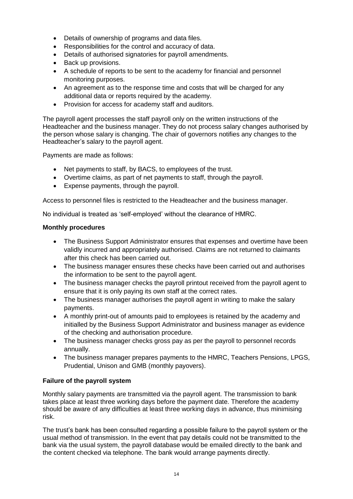- Details of ownership of programs and data files.
- Responsibilities for the control and accuracy of data.
- Details of authorised signatories for payroll amendments.
- Back up provisions.
- A schedule of reports to be sent to the academy for financial and personnel monitoring purposes.
- An agreement as to the response time and costs that will be charged for any additional data or reports required by the academy.
- Provision for access for academy staff and auditors.

The payroll agent processes the staff payroll only on the written instructions of the Headteacher and the business manager. They do not process salary changes authorised by the person whose salary is changing. The chair of governors notifies any changes to the Headteacher's salary to the payroll agent.

Payments are made as follows:

- Net payments to staff, by BACS, to employees of the trust.
- Overtime claims, as part of net payments to staff, through the payroll.
- Expense payments, through the payroll.

Access to personnel files is restricted to the Headteacher and the business manager.

No individual is treated as 'self-employed' without the clearance of HMRC.

#### **Monthly procedures**

- The Business Support Administrator ensures that expenses and overtime have been validly incurred and appropriately authorised. Claims are not returned to claimants after this check has been carried out.
- The business manager ensures these checks have been carried out and authorises the information to be sent to the payroll agent.
- The business manager checks the payroll printout received from the payroll agent to ensure that it is only paying its own staff at the correct rates.
- The business manager authorises the payroll agent in writing to make the salary payments.
- A monthly print-out of amounts paid to employees is retained by the academy and initialled by the Business Support Administrator and business manager as evidence of the checking and authorisation procedure.
- The business manager checks gross pay as per the payroll to personnel records annually.
- The business manager prepares payments to the HMRC, Teachers Pensions, LPGS, Prudential, Unison and GMB (monthly payovers).

#### **Failure of the payroll system**

Monthly salary payments are transmitted via the payroll agent. The transmission to bank takes place at least three working days before the payment date. Therefore the academy should be aware of any difficulties at least three working days in advance, thus minimising risk.

The trust's bank has been consulted regarding a possible failure to the payroll system or the usual method of transmission. In the event that pay details could not be transmitted to the bank via the usual system, the payroll database would be emailed directly to the bank and the content checked via telephone. The bank would arrange payments directly.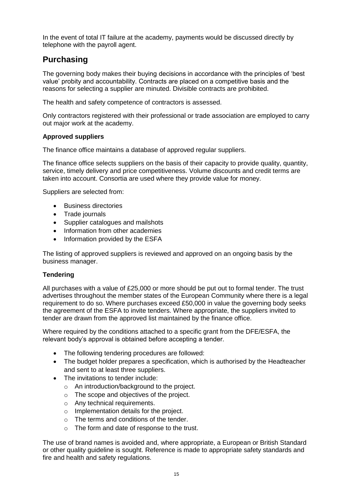In the event of total IT failure at the academy, payments would be discussed directly by telephone with the payroll agent.

## **Purchasing**

The governing body makes their buying decisions in accordance with the principles of 'best value' probity and accountability. Contracts are placed on a competitive basis and the reasons for selecting a supplier are minuted. Divisible contracts are prohibited.

The health and safety competence of contractors is assessed.

Only contractors registered with their professional or trade association are employed to carry out major work at the academy.

#### **Approved suppliers**

The finance office maintains a database of approved regular suppliers.

The finance office selects suppliers on the basis of their capacity to provide quality, quantity, service, timely delivery and price competitiveness. Volume discounts and credit terms are taken into account. Consortia are used where they provide value for money.

Suppliers are selected from:

- **Business directories**
- Trade journals
- Supplier catalogues and mailshots
- Information from other academies
- Information provided by the ESFA

The listing of approved suppliers is reviewed and approved on an ongoing basis by the business manager.

#### **Tendering**

All purchases with a value of £25,000 or more should be put out to formal tender. The trust advertises throughout the member states of the European Community where there is a legal requirement to do so. Where purchases exceed £50,000 in value the governing body seeks the agreement of the ESFA to invite tenders. Where appropriate, the suppliers invited to tender are drawn from the approved list maintained by the finance office.

Where required by the conditions attached to a specific grant from the DFE/ESFA, the relevant body's approval is obtained before accepting a tender.

- The following tendering procedures are followed:
- The budget holder prepares a specification, which is authorised by the Headteacher and sent to at least three suppliers.
- The invitations to tender include:
	- o An introduction/background to the project.
	- o The scope and objectives of the project.
	- o Any technical requirements.
	- o Implementation details for the project.
	- o The terms and conditions of the tender.
	- o The form and date of response to the trust.

The use of brand names is avoided and, where appropriate, a European or British Standard or other quality guideline is sought. Reference is made to appropriate safety standards and fire and health and safety regulations.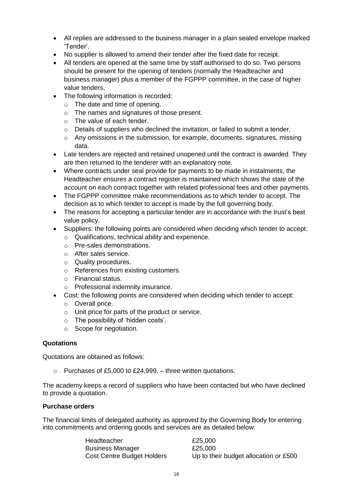- All replies are addressed to the business manager in a plain sealed envelope marked 'Tender'.
- No supplier is allowed to amend their tender after the fixed date for receipt.
- All tenders are opened at the same time by staff authorised to do so. Two persons should be present for the opening of tenders (normally the Headteacher and business manager) plus a member of the FGPPP committee, in the case of higher value tenders.
- The following information is recorded:
	- o The date and time of opening.
	- o The names and signatures of those present.
	- o The value of each tender.
	- $\circ$  Details of suppliers who declined the invitation, or failed to submit a tender.
	- $\circ$  Any omissions in the submission, for example, documents, signatures, missing data.
- Late tenders are rejected and retained unopened until the contract is awarded. They are then returned to the tenderer with an explanatory note.
- Where contracts under seal provide for payments to be made in instalments, the Headteacher ensures a contract register is maintained which shows the state of the account on each contract together with related professional fees and other payments.
- The FGPPP committee make recommendations as to which tender to accept. The decision as to which tender to accept is made by the full governing body.
- The reasons for accepting a particular tender are in accordance with the trust's best value policy.
- Suppliers: the following points are considered when deciding which tender to accept:
	- o Qualifications, technical ability and experience.
		- o Pre-sales demonstrations.
		- o After sales service.
		- o Quality procedures.
		- o References from existing customers.
		- o Financial status.
	- o Professional indemnity insurance.
- Cost: the following points are considered when deciding which tender to accept:
	- o Overall price.
	- o Unit price for parts of the product or service.
	- o The possibility of 'hidden costs'.
	- o Scope for negotiation.

#### **Quotations**

Quotations are obtained as follows:

o Purchases of £5,000 to £24,999, – three written quotations.

The academy keeps a record of suppliers who have been contacted but who have declined to provide a quotation.

#### **Purchase orders**

The financial limits of delegated authority as approved by the Governing Body for entering into commitments and ordering goods and services are as detailed below:

| Headteacher                       | £25,000                               |
|-----------------------------------|---------------------------------------|
| <b>Business Manager</b>           | £25,000                               |
| <b>Cost Centre Budget Holders</b> | Up to their budget allocation or £500 |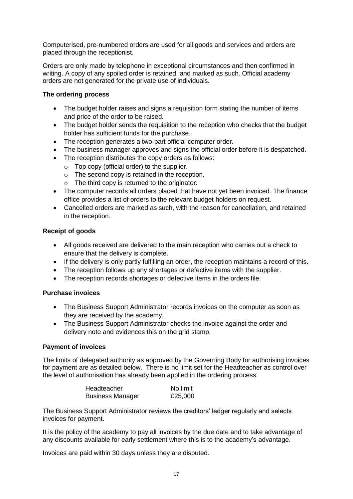Computerised, pre-numbered orders are used for all goods and services and orders are placed through the receptionist.

Orders are only made by telephone in exceptional circumstances and then confirmed in writing. A copy of any spoiled order is retained, and marked as such. Official academy orders are not generated for the private use of individuals.

#### **The ordering process**

- The budget holder raises and signs a requisition form stating the number of items and price of the order to be raised.
- The budget holder sends the requisition to the reception who checks that the budget holder has sufficient funds for the purchase.
- The reception generates a two-part official computer order.
- The business manager approves and signs the official order before it is despatched.
- The reception distributes the copy orders as follows:
	- $\circ$  Top copy (official order) to the supplier.
	- o The second copy is retained in the reception.
	- $\circ$  The third copy is returned to the originator.
- The computer records all orders placed that have not yet been invoiced. The finance office provides a list of orders to the relevant budget holders on request.
- Cancelled orders are marked as such, with the reason for cancellation, and retained in the reception.

#### **Receipt of goods**

- All goods received are delivered to the main reception who carries out a check to ensure that the delivery is complete.
- If the delivery is only partly fulfilling an order, the reception maintains a record of this.
- The reception follows up any shortages or defective items with the supplier.
- The reception records shortages or defective items in the orders file.

#### **Purchase invoices**

- The Business Support Administrator records invoices on the computer as soon as they are received by the academy.
- The Business Support Administrator checks the invoice against the order and delivery note and evidences this on the grid stamp.

#### **Payment of invoices**

The limits of delegated authority as approved by the Governing Body for authorising invoices for payment are as detailed below. There is no limit set for the Headteacher as control over the level of authorisation has already been applied in the ordering process.

| Headteacher             | No limit |
|-------------------------|----------|
| <b>Business Manager</b> | £25,000  |

The Business Support Administrator reviews the creditors' ledger regularly and selects invoices for payment.

It is the policy of the academy to pay all invoices by the due date and to take advantage of any discounts available for early settlement where this is to the academy's advantage.

Invoices are paid within 30 days unless they are disputed.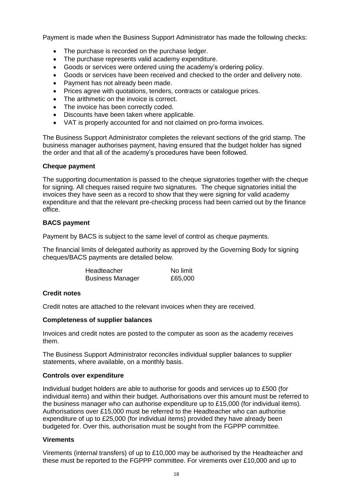Payment is made when the Business Support Administrator has made the following checks:

- The purchase is recorded on the purchase ledger.
- The purchase represents valid academy expenditure.
- Goods or services were ordered using the academy's ordering policy.
- Goods or services have been received and checked to the order and delivery note.
- Payment has not already been made.
- Prices agree with quotations, tenders, contracts or catalogue prices.
- The arithmetic on the invoice is correct.
- The invoice has been correctly coded.
- Discounts have been taken where applicable.
- VAT is properly accounted for and not claimed on pro-forma invoices.

The Business Support Administrator completes the relevant sections of the grid stamp. The business manager authorises payment, having ensured that the budget holder has signed the order and that all of the academy's procedures have been followed.

#### **Cheque payment**

The supporting documentation is passed to the cheque signatories together with the cheque for signing. All cheques raised require two signatures. The cheque signatories initial the invoices they have seen as a record to show that they were signing for valid academy expenditure and that the relevant pre-checking process had been carried out by the finance office.

#### **BACS payment**

Payment by BACS is subject to the same level of control as cheque payments.

The financial limits of delegated authority as approved by the Governing Body for signing cheques/BACS payments are detailed below.

| Headteacher             | No limit |
|-------------------------|----------|
| <b>Business Manager</b> | £65,000  |

#### **Credit notes**

Credit notes are attached to the relevant invoices when they are received.

#### **Completeness of supplier balances**

Invoices and credit notes are posted to the computer as soon as the academy receives them.

The Business Support Administrator reconciles individual supplier balances to supplier statements, where available, on a monthly basis.

#### **Controls over expenditure**

Individual budget holders are able to authorise for goods and services up to £500 (for individual items) and within their budget. Authorisations over this amount must be referred to the business manager who can authorise expenditure up to £15,000 (for individual items). Authorisations over £15,000 must be referred to the Headteacher who can authorise expenditure of up to £25,000 (for individual items) provided they have already been budgeted for. Over this, authorisation must be sought from the FGPPP committee.

#### **Virements**

Virements (internal transfers) of up to £10,000 may be authorised by the Headteacher and these must be reported to the FGPPP committee. For virements over £10,000 and up to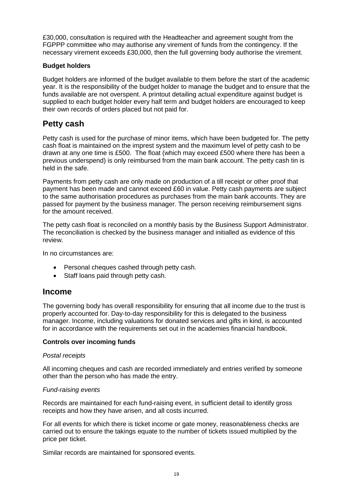£30,000, consultation is required with the Headteacher and agreement sought from the FGPPP committee who may authorise any virement of funds from the contingency. If the necessary virement exceeds £30,000, then the full governing body authorise the virement.

#### **Budget holders**

Budget holders are informed of the budget available to them before the start of the academic year. It is the responsibility of the budget holder to manage the budget and to ensure that the funds available are not overspent. A printout detailing actual expenditure against budget is supplied to each budget holder every half term and budget holders are encouraged to keep their own records of orders placed but not paid for.

## **Petty cash**

Petty cash is used for the purchase of minor items, which have been budgeted for. The petty cash float is maintained on the imprest system and the maximum level of petty cash to be drawn at any one time is £500. The float (which may exceed £500 where there has been a previous underspend) is only reimbursed from the main bank account. The petty cash tin is held in the safe.

Payments from petty cash are only made on production of a till receipt or other proof that payment has been made and cannot exceed £60 in value. Petty cash payments are subject to the same authorisation procedures as purchases from the main bank accounts. They are passed for payment by the business manager. The person receiving reimbursement signs for the amount received.

The petty cash float is reconciled on a monthly basis by the Business Support Administrator. The reconciliation is checked by the business manager and initialled as evidence of this review.

In no circumstances are:

- Personal cheques cashed through petty cash.
- Staff loans paid through petty cash.

#### **Income**

The governing body has overall responsibility for ensuring that all income due to the trust is properly accounted for. Day-to-day responsibility for this is delegated to the business manager. Income, including valuations for donated services and gifts in kind, is accounted for in accordance with the requirements set out in the academies financial handbook.

#### **Controls over incoming funds**

#### *Postal receipts*

All incoming cheques and cash are recorded immediately and entries verified by someone other than the person who has made the entry.

#### *Fund-raising events*

Records are maintained for each fund-raising event, in sufficient detail to identify gross receipts and how they have arisen, and all costs incurred.

For all events for which there is ticket income or gate money, reasonableness checks are carried out to ensure the takings equate to the number of tickets issued multiplied by the price per ticket.

Similar records are maintained for sponsored events.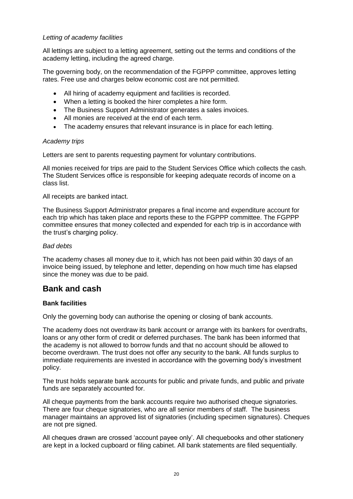#### *Letting of academy facilities*

All lettings are subject to a letting agreement, setting out the terms and conditions of the academy letting, including the agreed charge.

The governing body, on the recommendation of the FGPPP committee, approves letting rates. Free use and charges below economic cost are not permitted.

- All hiring of academy equipment and facilities is recorded.
- When a letting is booked the hirer completes a hire form.
- The Business Support Administrator generates a sales invoices.
- All monies are received at the end of each term.
- The academy ensures that relevant insurance is in place for each letting.

#### *Academy trips*

Letters are sent to parents requesting payment for voluntary contributions.

All monies received for trips are paid to the Student Services Office which collects the cash. The Student Services office is responsible for keeping adequate records of income on a class list.

All receipts are banked intact.

The Business Support Administrator prepares a final income and expenditure account for each trip which has taken place and reports these to the FGPPP committee. The FGPPP committee ensures that money collected and expended for each trip is in accordance with the trust's charging policy.

#### *Bad debts*

The academy chases all money due to it, which has not been paid within 30 days of an invoice being issued, by telephone and letter, depending on how much time has elapsed since the money was due to be paid.

#### **Bank and cash**

#### **Bank facilities**

Only the governing body can authorise the opening or closing of bank accounts.

The academy does not overdraw its bank account or arrange with its bankers for overdrafts, loans or any other form of credit or deferred purchases. The bank has been informed that the academy is not allowed to borrow funds and that no account should be allowed to become overdrawn. The trust does not offer any security to the bank. All funds surplus to immediate requirements are invested in accordance with the governing body's investment policy.

The trust holds separate bank accounts for public and private funds, and public and private funds are separately accounted for.

All cheque payments from the bank accounts require two authorised cheque signatories. There are four cheque signatories, who are all senior members of staff. The business manager maintains an approved list of signatories (including specimen signatures). Cheques are not pre signed.

All cheques drawn are crossed 'account payee only'. All chequebooks and other stationery are kept in a locked cupboard or filing cabinet. All bank statements are filed sequentially.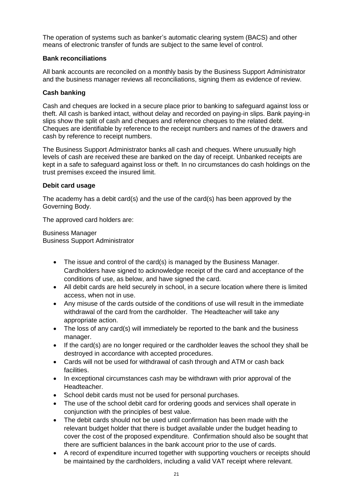The operation of systems such as banker's automatic clearing system (BACS) and other means of electronic transfer of funds are subject to the same level of control.

#### **Bank reconciliations**

All bank accounts are reconciled on a monthly basis by the Business Support Administrator and the business manager reviews all reconciliations, signing them as evidence of review.

#### **Cash banking**

Cash and cheques are locked in a secure place prior to banking to safeguard against loss or theft. All cash is banked intact, without delay and recorded on paying-in slips. Bank paying-in slips show the split of cash and cheques and reference cheques to the related debt. Cheques are identifiable by reference to the receipt numbers and names of the drawers and cash by reference to receipt numbers.

The Business Support Administrator banks all cash and cheques. Where unusually high levels of cash are received these are banked on the day of receipt. Unbanked receipts are kept in a safe to safeguard against loss or theft. In no circumstances do cash holdings on the trust premises exceed the insured limit.

#### **Debit card usage**

The academy has a debit card(s) and the use of the card(s) has been approved by the Governing Body.

The approved card holders are:

Business Manager Business Support Administrator

- The issue and control of the card(s) is managed by the Business Manager. Cardholders have signed to acknowledge receipt of the card and acceptance of the conditions of use, as below, and have signed the card.
- All debit cards are held securely in school, in a secure location where there is limited access, when not in use.
- Any misuse of the cards outside of the conditions of use will result in the immediate withdrawal of the card from the cardholder. The Headteacher will take any appropriate action.
- The loss of any card(s) will immediately be reported to the bank and the business manager.
- If the card(s) are no longer required or the cardholder leaves the school they shall be destroyed in accordance with accepted procedures.
- Cards will not be used for withdrawal of cash through and ATM or cash back facilities.
- In exceptional circumstances cash may be withdrawn with prior approval of the **Headteacher**
- School debit cards must not be used for personal purchases.
- The use of the school debit card for ordering goods and services shall operate in conjunction with the principles of best value.
- The debit cards should not be used until confirmation has been made with the relevant budget holder that there is budget available under the budget heading to cover the cost of the proposed expenditure. Confirmation should also be sought that there are sufficient balances in the bank account prior to the use of cards.
- A record of expenditure incurred together with supporting vouchers or receipts should be maintained by the cardholders, including a valid VAT receipt where relevant.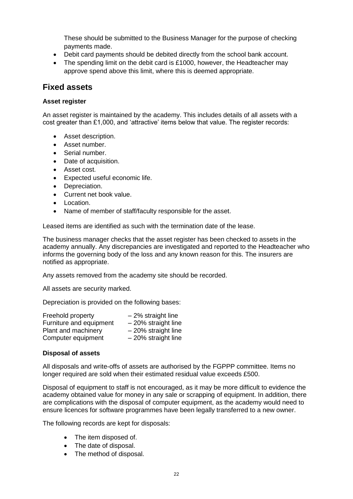These should be submitted to the Business Manager for the purpose of checking payments made.

- Debit card payments should be debited directly from the school bank account.
- The spending limit on the debit card is £1000, however, the Headteacher may approve spend above this limit, where this is deemed appropriate.

#### **Fixed assets**

#### **Asset register**

An asset register is maintained by the academy. This includes details of all assets with a cost greater than £1,000, and 'attractive' items below that value. The register records:

- Asset description.
- Asset number.
- Serial number.
- Date of acquisition.
- Asset cost.
- Expected useful economic life.
- Depreciation.
- Current net book value.
- Location.
- Name of member of staff/faculty responsible for the asset.

Leased items are identified as such with the termination date of the lease.

The business manager checks that the asset register has been checked to assets in the academy annually. Any discrepancies are investigated and reported to the Headteacher who informs the governing body of the loss and any known reason for this. The insurers are notified as appropriate.

Any assets removed from the academy site should be recorded.

All assets are security marked.

Depreciation is provided on the following bases:

| Freehold property       | $-2\%$ straight line  |
|-------------------------|-----------------------|
| Furniture and equipment | $-20\%$ straight line |
| Plant and machinery     | $-20\%$ straight line |
| Computer equipment      | $-20\%$ straight line |

#### **Disposal of assets**

All disposals and write-offs of assets are authorised by the FGPPP committee. Items no longer required are sold when their estimated residual value exceeds £500.

Disposal of equipment to staff is not encouraged, as it may be more difficult to evidence the academy obtained value for money in any sale or scrapping of equipment. In addition, there are complications with the disposal of computer equipment, as the academy would need to ensure licences for software programmes have been legally transferred to a new owner.

The following records are kept for disposals:

- The item disposed of.
- The date of disposal.
- The method of disposal.